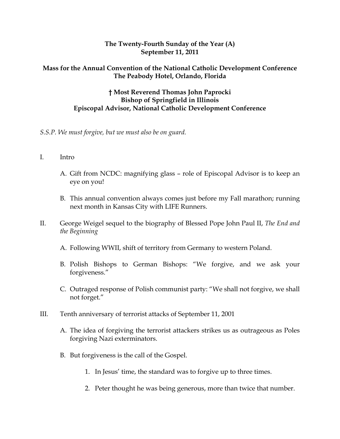## **The Twenty-Fourth Sunday of the Year (A) September 11, 2011**

## **Mass for the Annual Convention of the National Catholic Development Conference The Peabody Hotel, Orlando, Florida**

## **† Most Reverend Thomas John Paprocki Bishop of Springfield in Illinois Episcopal Advisor, National Catholic Development Conference**

## *S.S.P. We must forgive, but we must also be on guard.*

- I. Intro
	- A. Gift from NCDC: magnifying glass role of Episcopal Advisor is to keep an eye on you!
	- B. This annual convention always comes just before my Fall marathon; running next month in Kansas City with LIFE Runners.
- II. George Weigel sequel to the biography of Blessed Pope John Paul II, *The End and the Beginning*
	- A. Following WWII, shift of territory from Germany to western Poland.
	- B. Polish Bishops to German Bishops: "We forgive, and we ask your forgiveness."
	- C. Outraged response of Polish communist party: "We shall not forgive, we shall not forget."
- III. Tenth anniversary of terrorist attacks of September 11, 2001
	- A. The idea of forgiving the terrorist attackers strikes us as outrageous as Poles forgiving Nazi exterminators.
	- B. But forgiveness is the call of the Gospel.
		- 1. In Jesus' time, the standard was to forgive up to three times.
		- 2. Peter thought he was being generous, more than twice that number.